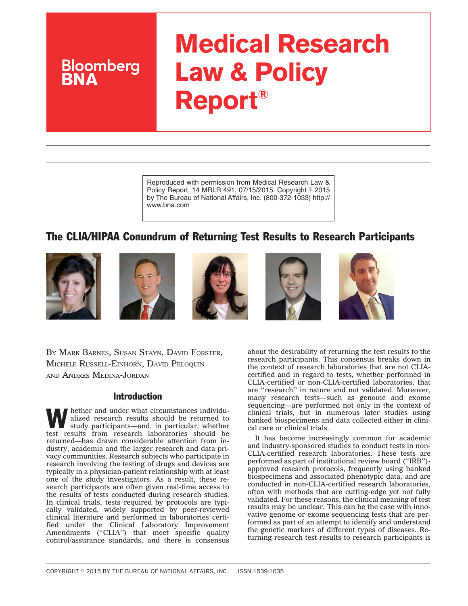# **Medical Research Law & Policy Report®**

Reproduced with permission from Medical Research Law & Policy Report, 14 MRLR 491, 07/15/2015. Copyright © 2015 by The Bureau of National Affairs, Inc. (800-372-1033) http:// www.bna.com

# The CLIA/HIPAA Conundrum of Returning Test Results to Research Participants



**Bloomberg** 









BY MARK BARNES, SUSAN STAYN, DAVID FORSTER, MICHELE RUSSELL-EINHORN, DAVID PELOQUIN AND ANDRES MEDINA-JORDAN

#### Introduction

hether and under what circumstances individualized research results should be returned to study participants—and, in particular, whether test results from research laboratories should be returned—has drawn considerable attention from industry, academia and the larger research and data privacy communities. Research subjects who participate in research involving the testing of drugs and devices are typically in a physician-patient relationship with at least one of the study investigators. As a result, these research participants are often given real-time access to the results of tests conducted during research studies. In clinical trials, tests required by protocols are typically validated, widely supported by peer-reviewed clinical literature and performed in laboratories certified under the Clinical Laboratory Improvement Amendments ("CLIA") that meet specific quality control/assurance standards, and there is consensus

about the desirability of returning the test results to the research participants. This consensus breaks down in the context of research laboratories that are not CLIAcertified and in regard to tests, whether performed in CLIA-certified or non-CLIA-certified laboratories, that are ''research'' in nature and not validated. Moreover, many research tests—such as genome and exome sequencing—are performed not only in the context of clinical trials, but in numerous later studies using banked biospecimens and data collected either in clinical care or clinical trials.

It has become increasingly common for academic and industry-sponsored studies to conduct tests in non-CLIA-certified research laboratories. These tests are performed as part of institutional review board (''IRB'') approved research protocols, frequently using banked biospecimens and associated phenotypic data, and are conducted in non-CLIA-certified research laboratories, often with methods that are cutting-edge yet not fully validated. For these reasons, the clinical meaning of test results may be unclear. This can be the case with innovative genome or exome sequencing tests that are performed as part of an attempt to identify and understand the genetic markers of different types of diseases. Returning research test results to research participants is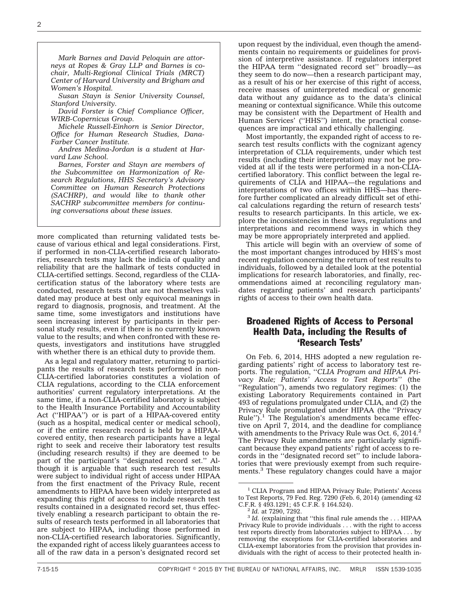*Mark Barnes and David Peloquin are attorneys at Ropes & Gray LLP and Barnes is cochair, Multi-Regional Clinical Trials (MRCT) Center of Harvard University and Brigham and Women's Hospital.*

*Susan Stayn is Senior University Counsel, Stanford University.*

*David Forster is Chief Compliance Officer, WIRB-Copernicus Group.*

*Michele Russell-Einhorn is Senior Director, Office for Human Research Studies, Dana-Farber Cancer Institute.*

*Andres Medina-Jordan is a student at Harvard Law School.*

*Barnes, Forster and Stayn are members of the Subcommittee on Harmonization of Research Regulations, HHS Secretary's Advisory Committee on Human Research Protections (SACHRP), and would like to thank other SACHRP subcommittee members for continuing conversations about these issues.*

more complicated than returning validated tests because of various ethical and legal considerations. First, if performed in non-CLIA-certified research laboratories, research tests may lack the indicia of quality and reliability that are the hallmark of tests conducted in CLIA-certified settings. Second, regardless of the CLIAcertification status of the laboratory where tests are conducted, research tests that are not themselves validated may produce at best only equivocal meanings in regard to diagnosis, prognosis, and treatment. At the same time, some investigators and institutions have seen increasing interest by participants in their personal study results, even if there is no currently known value to the results; and when confronted with these requests, investigators and institutions have struggled with whether there is an ethical duty to provide them.

As a legal and regulatory matter, returning to participants the results of research tests performed in non-CLIA-certified laboratories constitutes a violation of CLIA regulations, according to the CLIA enforcement authorities' current regulatory interpretations. At the same time, if a non-CLIA-certified laboratory is subject to the Health Insurance Portability and Accountability Act (''HIPAA'') or is part of a HIPAA-covered entity (such as a hospital, medical center or medical school), or if the entire research record is held by a HIPAAcovered entity, then research participants have a legal right to seek and receive their laboratory test results (including research results) if they are deemed to be part of the participant's ''designated record set.'' Although it is arguable that such research test results were subject to individual right of access under HIPAA from the first enactment of the Privacy Rule, recent amendments to HIPAA have been widely interpreted as expanding this right of access to include research test results contained in a designated record set, thus effectively enabling a research participant to obtain the results of research tests performed in all laboratories that are subject to HIPAA, including those performed in non-CLIA-certified research laboratories. Significantly, the expanded right of access likely guarantees access to all of the raw data in a person's designated record set

upon request by the individual, even though the amendments contain no requirements or guidelines for provision of interpretive assistance. If regulators interpret the HIPAA term ''designated record set'' broadly—as they seem to do now—then a research participant may, as a result of his or her exercise of this right of access, receive masses of uninterpreted medical or genomic data without any guidance as to the data's clinical meaning or contextual significance. While this outcome may be consistent with the Department of Health and Human Services' ("HHS") intent, the practical consequences are impractical and ethically challenging.

Most importantly, the expanded right of access to research test results conflicts with the cognizant agency interpretation of CLIA requirements, under which test results (including their interpretation) may not be provided at all if the tests were performed in a non-CLIAcertified laboratory. This conflict between the legal requirements of CLIA and HIPAA—the regulations and interpretations of two offices within HHS—has therefore further complicated an already difficult set of ethical calculations regarding the return of research tests' results to research participants. In this article, we explore the inconsistencies in these laws, regulations and interpretations and recommend ways in which they may be more appropriately interpreted and applied.

This article will begin with an overview of some of the most important changes introduced by HHS's most recent regulation concerning the return of test results to individuals, followed by a detailed look at the potential implications for research laboratories, and finally, recommendations aimed at reconciling regulatory mandates regarding patients' and research participants' rights of access to their own health data.

### Broadened Rights of Access to Personal Health Data, including the Results of 'Research Tests'

On Feb. 6, 2014, HHS adopted a new regulation regarding patients' right of access to laboratory test reports. The regulation, ''*CLIA Program and HIPAA Privacy Rule; Patients' Access to Test Reports*'' (the ''Regulation''), amends two regulatory regimes: (1) the existing Laboratory Requirements contained in Part 493 of regulations promulgated under CLIA, and (2) the Privacy Rule promulgated under HIPAA (the ''Privacy Rule'').<sup>1</sup> The Regulation's amendments became effective on April 7, 2014, and the deadline for compliance with amendments to the Privacy Rule was Oct.  $6, 2014$ <sup>2</sup> The Privacy Rule amendments are particularly significant because they expand patients' right of access to records in the ''designated record set'' to include laboratories that were previously exempt from such requirements.3 These regulatory changes could have a major

<sup>&</sup>lt;sup>1</sup> CLIA Program and HIPAA Privacy Rule; Patients' Access to Test Reports, 79 Fed. Reg. 7290 (Feb. 6, 2014) (amending 42 C.F.R. § 493.1291; 45 C.F.R. § 164.524).

 $\frac{2}{3}$  *Id.* at 7290, 7292.<br> $\frac{3}{3}$  *Id.* (explaining that "this final rule amends the . . . HIPAA Privacy Rule to provide individuals . . . with the right to access test reports directly from laboratories subject to HIPAA . . . by removing the exceptions for CLIA-certified laboratories and CLIA-exempt laboratories from the provision that provides individuals with the right of access to their protected health in-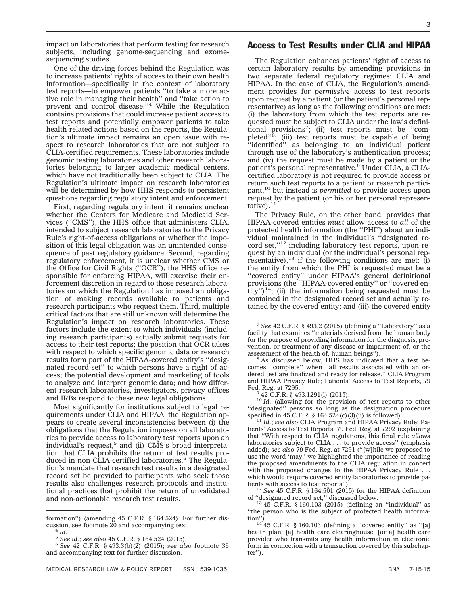impact on laboratories that perform testing for research subjects, including genome-sequencing and exomesequencing studies.

One of the driving forces behind the Regulation was to increase patients' rights of access to their own health information—specifically in the context of laboratory test reports—to empower patients ''to take a more active role in managing their health'' and ''take action to prevent and control disease."<sup>4</sup> While the Regulation contains provisions that could increase patient access to test reports and potentially empower patients to take health-related actions based on the reports, the Regulation's ultimate impact remains an open issue with respect to research laboratories that are not subject to CLIA-certified requirements. These laboratories include genomic testing laboratories and other research laboratories belonging to larger academic medical centers, which have not traditionally been subject to CLIA. The Regulation's ultimate impact on research laboratories will be determined by how HHS responds to persistent questions regarding regulatory intent and enforcement.

First, regarding regulatory intent, it remains unclear whether the Centers for Medicare and Medicaid Services (''CMS''), the HHS office that administers CLIA, intended to subject research laboratories to the Privacy Rule's right-of-access obligations or whether the imposition of this legal obligation was an unintended consequence of past regulatory guidance. Second, regarding regulatory enforcement, it is unclear whether CMS or the Office for Civil Rights (''OCR''), the HHS office responsible for enforcing HIPAA, will exercise their enforcement discretion in regard to those research laboratories on which the Regulation has imposed an obligation of making records available to patients and research participants who request them. Third, multiple critical factors that are still unknown will determine the Regulation's impact on research laboratories. These factors include the extent to which individuals (including research participants) actually submit requests for access to their test reports; the position that OCR takes with respect to which specific genomic data or research results form part of the HIPAA-covered entity's ''designated record set'' to which persons have a right of access; the potential development and marketing of tools to analyze and interpret genomic data; and how different research laboratories, investigators, privacy offices and IRBs respond to these new legal obligations.

Most significantly for institutions subject to legal requirements under CLIA and HIPAA, the Regulation appears to create several inconsistencies between (i) the obligations that the Regulation imposes on all laboratories to provide access to laboratory test reports upon an individual's request, $5$  and (ii) CMS's broad interpretation that CLIA prohibits the return of test results produced in non-CLIA-certified laboratories.<sup>6</sup> The Regulation's mandate that research test results in a designated record set be provided to participants who seek those results also challenges research protocols and institutional practices that prohibit the return of unvalidated and non-actionable research test results.

#### Access to Test Results under CLIA and HIPAA

The Regulation enhances patients' right of access to certain laboratory results by amending provisions in two separate federal regulatory regimes: CLIA and HIPAA. In the case of CLIA, the Regulation's amendment provides for *permissive* access to test reports upon request by a patient (or the patient's personal representative) as long as the following conditions are met: (i) the laboratory from which the test reports are requested must be subject to CLIA under the law's definitional provisions<sup>7</sup>; (ii) test reports must be "completed"<sup>8</sup>; (iii) test reports must be capable of being ''identified'' as belonging to an individual patient through use of the laboratory's authentication process; and (iv) the request must be made by a patient or the patient's personal representative.9 Under CLIA, a CLIAcertified laboratory is not required to provide access or return such test reports to a patient or research participant,<sup>10</sup> but instead is *permitted* to provide access upon request by the patient (or his or her personal representative).<sup>11</sup>

The Privacy Rule, on the other hand, provides that HIPAA-covered entities *must* allow access to *all* of the protected health information (the ''PHI'') about an individual maintained in the individual's ''designated record set,"<sup>12</sup> including laboratory test reports, upon request by an individual (or the individual's personal representative), $^{13}$  if the following conditions are met: (i) the entity from which the PHI is requested must be a ''covered entity'' under HIPAA's general definitional provisions (the ''HIPAA-covered entity'' or ''covered entity")<sup>14</sup>; (ii) the information being requested must be contained in the designated record set and actually retained by the covered entity; and (iii) the covered entity

<sup>10</sup> *Id.* (allowing for the provision of test reports to other ''designated'' persons so long as the designation procedure specified in 45 C.F.R. § 164.524(c)(3)(ii) is followed). <sup>11</sup> *Id.*; *see also* CLIA Program and HIPAA Privacy Rule; Pa-

tients' Access to Test Reports, 79 Fed. Reg. at 7292 (explaining that ''With respect to CLIA regulations, this final rule *allows* laboratories subject to CLIA . . . to provide access'' (emphasis added); *see also* 79 Fed. Reg. at 7291 (''[w]hile we proposed to use the word 'may,' we highlighted the importance of reading the proposed amendments to the CLIA regulation in concert with the proposed changes to the HIPAA Privacy Rule ... which would require covered entity laboratories to provide patients with access to test reports").

<sup>12</sup> See 45 C.F.R. § 164.501 (2015) for the HIPAA definition of "designated record set," discussed below.

 $^{13}$  45 C.F.R. § 160.103 (2015) (defining an "individual" as "the person who is the subject of protected health informa-<br>tion").

formation'') (amending 45 C.F.R. § 164.524). For further discussion, see footnote 20 and accompanying text. <sup>4</sup> *Id.*

<sup>5</sup> *See id.*; *see also* 45 C.F.R. § 164.524 (2015). <sup>6</sup> *See* 42 C.F.R. § 493.3(b)(2) (2015); *see also* footnote 36 and accompanying text for further discussion.

<sup>7</sup> *See* 42 C.F.R. § 493.2 (2015) (defining a ''Laboratory'' as a facility that examines ''materials derived from the human body for the purpose of providing information for the diagnosis, prevention, or treatment of any disease or impairment of, or the assessment of the health of, human beings").

 $8$  As discussed below, HHS has indicated that a test becomes ''complete'' when ''all results associated with an ordered test are finalized and ready for release.'' CLIA Program and HIPAA Privacy Rule; Patients' Access to Test Reports, 79 Fed. Reg. at 7295.<br><sup>9</sup> 42 C.F.R. § 493.1291(l) (2015).

 $t^{14}$  45 C.F.R. § 160.103 (defining a "covered entity" as "[a] health plan, [a] health care clearinghouse, [or a] health care provider who transmits any health information in electronic form in connection with a transaction covered by this subchapter'').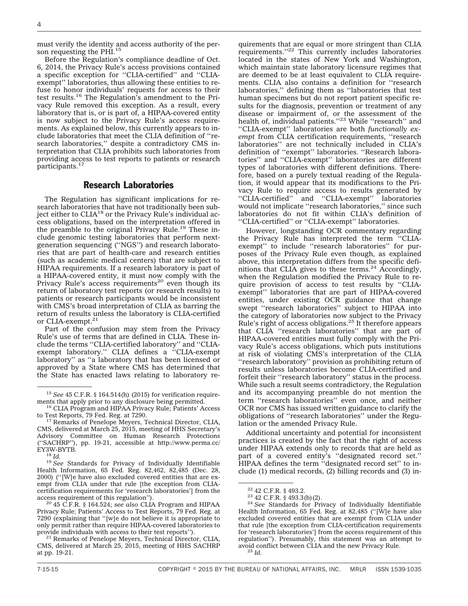must verify the identity and access authority of the person requesting the PHI.<sup>15</sup>

Before the Regulation's compliance deadline of Oct. 6, 2014, the Privacy Rule's access provisions contained a specific exception for ''CLIA-certified'' and ''CLIAexempt'' laboratories, thus allowing these entities to refuse to honor individuals' requests for access to their test results.16 The Regulation's amendment to the Privacy Rule removed this exception. As a result, every laboratory that is, or is part of, a HIPAA-covered entity is now subject to the Privacy Rule's access requirements. As explained below, this currently appears to include laboratories that meet the CLIA definition of ''research laboratories,'' despite a contradictory CMS interpretation that CLIA prohibits such laboratories from providing access to test reports to patients or research participants.<sup>17</sup>

#### Research Laboratories

The Regulation has significant implications for research laboratories that have not traditionally been subject either to CLIA<sup>18</sup> or the Privacy Rule's individual access obligations, based on the interpretation offered in the preamble to the original Privacy Rule.<sup>19</sup> These include genomic testing laboratories that perform nextgeneration sequencing (''NGS'') and research laboratories that are part of health-care and research entities (such as academic medical centers) that are subject to HIPAA requirements. If a research laboratory is part of a HIPAA-covered entity, it must now comply with the Privacy Rule's access requirements<sup>20</sup> even though its return of laboratory test reports (or research results) to patients or research participants would be inconsistent with CMS's broad interpretation of CLIA as barring the return of results unless the laboratory is CLIA-certified or CLIA-exempt.<sup>21</sup>

Part of the confusion may stem from the Privacy Rule's use of terms that are defined in CLIA. These include the terms ''CLIA-certified laboratory'' and ''CLIAexempt laboratory.'' CLIA defines a ''CLIA-exempt laboratory'' as ''a laboratory that has been licensed or approved by a State where CMS has determined that the State has enacted laws relating to laboratory re-

<sup>20</sup> 45 C.F.R. § 164.524; see also CLIA Program and HIPAA Privacy Rule; Patients' Access to Test Reports, 79 Fed. Reg. at 7290 (explaining that ''[w]e do not believe it is appropriate to only permit rather than require HIPAA-covered laboratories to

<sup>21</sup> Remarks of Penelope Meyers, Technical Director, CLIA, CMS, delivered at March 25, 2015, meeting of HHS SACHRP at pp. 19-21.

quirements that are equal or more stringent than CLIA requirements.''22 This currently includes laboratories located in the states of New York and Washington, which maintain state laboratory licensure regimes that are deemed to be at least equivalent to CLIA requirements. CLIA also contains a definition for ''research laboratories,'' defining them as ''laboratories that test human specimens but do not report patient specific results for the diagnosis, prevention or treatment of any disease or impairment of, or the assessment of the health of, individual patients."<sup>23</sup> While "research" and ''CLIA-exempt'' laboratories are both *functionally exempt* from CLIA certification requirements, ''research laboratories'' are not technically included in CLIA's definition of ''exempt'' laboratories. ''Research laboratories'' and ''CLIA-exempt'' laboratories are different types of laboratories with different definitions. Therefore, based on a purely textual reading of the Regulation, it would appear that its modifications to the Privacy Rule to require access to results generated by ''CLIA-certified'' and ''CLIA-exempt'' laboratories would not implicate ''research laboratories,'' since such laboratories do not fit within CLIA's definition of ''CLIA-certified'' or ''CLIA-exempt'' laboratories.

However, longstanding OCR commentary regarding the Privacy Rule has interpreted the term ''CLIAexempt'' to include ''research laboratories'' for purposes of the Privacy Rule even though, as explained above, this interpretation differs from the specific definitions that CLIA gives to these terms.<sup>24</sup> Accordingly, when the Regulation modified the Privacy Rule to require provision of access to test results by ''CLIAexempt'' laboratories that are part of HIPAA-covered entities, under existing OCR guidance that change swept ''research laboratories'' subject to HIPAA into the category of laboratories now subject to the Privacy Rule's right of access obligations.25 It therefore appears that CLIA ''research laboratories'' that are part of HIPAA-covered entities must fully comply with the Privacy Rule's access obligations, which puts institutions at risk of violating CMS's interpretation of the CLIA ''research laboratory'' provision as prohibiting return of results unless laboratories become CLIA-certified and forfeit their ''research laboratory'' status in the process. While such a result seems contradictory, the Regulation and its accompanying preamble do not mention the term ''research laboratories'' even once, and neither OCR nor CMS has issued written guidance to clarify the obligations of ''research laboratories'' under the Regulation or the amended Privacy Rule.

Additional uncertainty and potential for inconsistent practices is created by the fact that the right of access under HIPAA extends only to records that are held as part of a covered entity's ''designated record set.'' HIPAA defines the term ''designated record set'' to include (1) medical records, (2) billing records and (3) in-

<sup>&</sup>lt;sup>15</sup> *See* 45 C.F.R. § 164.514(h) (2015) for verification requirements that apply prior to any disclosure being permitted.

<sup>&</sup>lt;sup>16</sup> CLIA Program and HIPAA Privacy Rule; Patients' Access to Test Reports, 79 Fed. Reg. at 7290.<br><sup>17</sup> Remarks of Penelope Meyers, Technical Director, CLIA,

CMS, delivered at March 25, 2015, meeting of HHS Secretary's Advisory Committee on Human Research Protections (''SACHRP''), pp. 19-21, accessible at [http://www.perma.cc/](http://www.perma.cc/EY3W-BYTB)

<sup>&</sup>lt;sup>18</sup> Id.<br><sup>19</sup> See Standards for Privacy of Individually Identifiable Health Information, 65 Fed. Reg. 82,462, 82,485 (Dec. 28, 2000) (''[W]e have also excluded covered entities that are exempt from CLIA under that rule [the exception from CLIAcertification requirements for 'research laboratories'] from the

<sup>22</sup> 42 C.F.R. § 493.2. <sup>23</sup> 42 C.F.R. § 493.3(b)(2). <sup>24</sup> *See* Standards for Privacy of Individually Identifiable Health Information, 65 Fed. Reg. at 82,485 (''[W]e have also excluded covered entities that are exempt from CLIA under that rule [the exception from CLIA-certification requirements for 'research laboratories'] from the access requirement of this regulation''). Presumably, this statement was an attempt to avoid conflict between CLIA and the new Privacy Rule. <sup>25</sup> *Id.*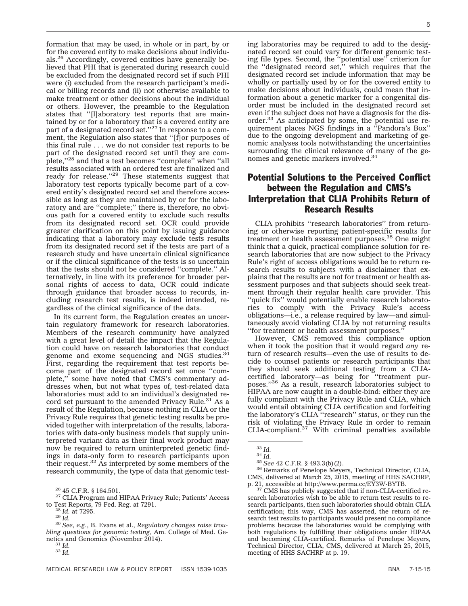formation that may be used, in whole or in part, by or for the covered entity to make decisions about individuals.26 Accordingly, covered entities have generally believed that PHI that is generated during research could be excluded from the designated record set if such PHI were (i) excluded from the research participant's medical or billing records and (ii) not otherwise available to make treatment or other decisions about the individual or others. However, the preamble to the Regulation states that ''[l]aboratory test reports that are maintained by or for a laboratory that is a covered entity are<br>part of a designated record set.''<sup>27</sup> In response to a comment, the Regulation also states that ''[f]or purposes of this final rule . . . we do not consider test reports to be part of the designated record set until they are complete,"<sup>28</sup> and that a test becomes "complete" when "all results associated with an ordered test are finalized and ready for release."<sup>29</sup> These statements suggest that laboratory test reports typically become part of a covered entity's designated record set and therefore accessible as long as they are maintained by or for the laboratory and are ''complete;'' there is, therefore, no obvious path for a covered entity to exclude such results from its designated record set. OCR could provide greater clarification on this point by issuing guidance indicating that a laboratory may exclude tests results from its designated record set if the tests are part of a research study and have uncertain clinical significance or if the clinical significance of the tests is so uncertain that the tests should not be considered ''complete.'' Alternatively, in line with its preference for broader personal rights of access to data, OCR could indicate through guidance that broader access to records, including research test results, is indeed intended, regardless of the clinical significance of the data.

In its current form, the Regulation creates an uncertain regulatory framework for research laboratories. Members of the research community have analyzed with a great level of detail the impact that the Regulation could have on research laboratories that conduct genome and exome sequencing and NGS studies.<sup>3</sup> First, regarding the requirement that test reports become part of the designated record set once ''complete,'' some have noted that CMS's commentary addresses when, but not what types of, test-related data laboratories must add to an individual's designated record set pursuant to the amended Privacy Rule.<sup>31</sup> As a result of the Regulation, because nothing in CLIA or the Privacy Rule requires that genetic testing results be provided together with interpretation of the results, laboratories with data-only business models that supply uninterpreted variant data as their final work product may now be required to return uninterpreted genetic findings in data-only form to research participants upon their request.32 As interpreted by some members of the research community, the type of data that genomic test-

<sup>28</sup> Id. at 7295.<br><sup>29</sup> Id. <sup>30</sup> *See, e.g., B. Evans et al., Regulatory changes raise troubling questions for genomic testing*, Am. College of Med. Genetics and Genomics (November 2014).<br><sup>31</sup> *Id.* <sup>32</sup> *Id.* 

MEDICAL RESEARCH LAW & POLICY REPORT ISSN 1539-1035 BNA 7-15-15

ing laboratories may be required to add to the designated record set could vary for different genomic testing file types. Second, the ''potential use'' criterion for the ''designated record set,'' which requires that the designated record set include information that may be wholly or partially used by or for the covered entity to make decisions about individuals, could mean that information about a genetic marker for a congenital disorder must be included in the designated record set even if the subject does not have a diagnosis for the disorder.33 As anticipated by some, the potential use requirement places NGS findings in a ''Pandora's Box'' due to the ongoing development and marketing of genomic analyses tools notwithstanding the uncertainties surrounding the clinical relevance of many of the genomes and genetic markers involved.<sup>34</sup>

## Potential Solutions to the Perceived Conflict between the Regulation and CMS's Interpretation that CLIA Prohibits Return of Research Results

CLIA prohibits ''research laboratories'' from returning or otherwise reporting patient-specific results for treatment or health assessment purposes.<sup>35</sup> One might think that a quick, practical compliance solution for research laboratories that are now subject to the Privacy Rule's right of access obligations would be to return research results to subjects with a disclaimer that explains that the results are not for treatment or health assessment purposes and that subjects should seek treatment through their regular health care provider. This ''quick fix'' would potentially enable research laboratories to comply with the Privacy Rule's access obligations—i.e., a release required by law—and simultaneously avoid violating CLIA by not returning results ''for treatment or health assessment purposes.''

However, CMS removed this compliance option when it took the position that it would regard *any* return of research results—even the use of results to decide to counsel patients or research participants that they should seek additional testing from a CLIAcertified laboratory—as being for ''treatment purposes.''36 As a result, research laboratories subject to HIPAA are now caught in a double-bind: either they are fully compliant with the Privacy Rule and CLIA, which would entail obtaining CLIA certification and forfeiting the laboratory's CLIA ''research'' status, or they run the risk of violating the Privacy Rule in order to remain CLIA-compliant.37 With criminal penalties available

<sup>37</sup> CMS has publicly suggested that if non-CLIA-certified research laboratories wish to be able to return test results to research participants, then such laboratories should obtain CLIA certification; this way, CMS has asserted, the return of research test results to participants would present no compliance problems because the laboratories would be complying with both regulations by fulfilling their obligations under HIPAA and becoming CLIA-certified. Remarks of Penelope Meyers, Technical Director, CLIA, CMS, delivered at March 25, 2015, meeting of HHS SACHRP at p. 19.

<sup>&</sup>lt;sup>26</sup> 45 C.F.R. § 164.501.<br><sup>27</sup> CLIA Program and HIPAA Privacy Rule; Patients' Access to Test Reports, 79 Fed. Reg. at 7291.

<sup>33</sup> *Id.* <sup>34</sup> *Id.* <sup>35</sup> *See* 42 C.F.R. § 493.3(b)(2). <sup>36</sup> Remarks of Penelope Meyers, Technical Director, CLIA, CMS, delivered at March 25, 2015, meeting of HHS SACHRP, p. 21, accessible at http://www.perma.cc/EY3W-BYTB.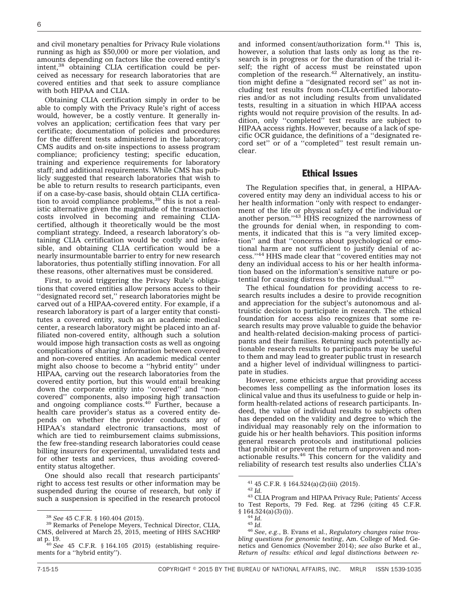and civil monetary penalties for Privacy Rule violations running as high as \$50,000 or more per violation, and amounts depending on factors like the covered entity's intent,38 obtaining CLIA certification could be perceived as necessary for research laboratories that are covered entities and that seek to assure compliance with both HIPAA and CLIA.

Obtaining CLIA certification simply in order to be able to comply with the Privacy Rule's right of access would, however, be a costly venture. It generally involves an application; certification fees that vary per certificate; documentation of policies and procedures for the different tests administered in the laboratory; CMS audits and on-site inspections to assess program compliance; proficiency testing; specific education, training and experience requirements for laboratory staff; and additional requirements. While CMS has publicly suggested that research laboratories that wish to be able to return results to research participants, even if on a case-by-case basis, should obtain CLIA certification to avoid compliance problems, $39$  this is not a realistic alternative given the magnitude of the transaction costs involved in becoming and remaining CLIAcertified, although it theoretically would be the most compliant strategy. Indeed, a research laboratory's obtaining CLIA certification would be costly and infeasible, and obtaining CLIA certification would be a nearly insurmountable barrier to entry for new research laboratories, thus potentially stifling innovation. For all these reasons, other alternatives must be considered.

First, to avoid triggering the Privacy Rule's obligations that covered entities allow persons access to their ''designated record set,'' research laboratories might be carved out of a HIPAA-covered entity. For example, if a research laboratory is part of a larger entity that constitutes a covered entity, such as an academic medical center, a research laboratory might be placed into an affiliated non-covered entity, although such a solution would impose high transaction costs as well as ongoing complications of sharing information between covered and non-covered entities. An academic medical center might also choose to become a ''hybrid entity'' under HIPAA, carving out the research laboratories from the covered entity portion, but this would entail breaking down the corporate entity into ''covered'' and ''noncovered'' components, also imposing high transaction and ongoing compliance costs.<sup>40</sup> Further, because a health care provider's status as a covered entity depends on whether the provider conducts any of HIPAA's standard electronic transactions, most of which are tied to reimbursement claims submissions, the few free-standing research laboratories could cease billing insurers for experimental, unvalidated tests and for other tests and services, thus avoiding coveredentity status altogether.

One should also recall that research participants' right to access test results or other information may be suspended during the course of research, but only if such a suspension is specified in the research protocol

and informed consent/authorization form.<sup>41</sup> This is, however, a solution that lasts only as long as the research is in progress or for the duration of the trial itself; the right of access must be reinstated upon completion of the research.<sup>42</sup> Alternatively, an institution might define a ''designated record set'' as not including test results from non-CLIA-certified laboratories and/or as not including results from unvalidated tests, resulting in a situation in which HIPAA access rights would not require provision of the results. In addition, only ''completed'' test results are subject to HIPAA access rights. However, because of a lack of specific OCR guidance, the definitions of a ''designated record set'' or of a ''completed'' test result remain unclear.

#### Ethical Issues

The Regulation specifies that, in general, a HIPAAcovered entity may deny an individual access to his or her health information ''only with respect to endangerment of the life or physical safety of the individual or<br>another person."<sup>43</sup> HHS recognized the narrowness of the grounds for denial when, in responding to comments, it indicated that this is ''a very limited exception'' and that ''concerns about psychological or emotional harm are not sufficient to justify denial of access.''44 HHS made clear that ''covered entities may not deny an individual access to his or her health information based on the information's sensitive nature or potential for causing distress to the individual.''45

The ethical foundation for providing access to research results includes a desire to provide recognition and appreciation for the subject's autonomous and altruistic decision to participate in research. The ethical foundation for access also recognizes that some research results may prove valuable to guide the behavior and health-related decision-making process of participants and their families. Returning such potentially actionable research results to participants may be useful to them and may lead to greater public trust in research and a higher level of individual willingness to participate in studies.

However, some ethicists argue that providing access becomes less compelling as the information loses its clinical value and thus its usefulness to guide or help inform health-related actions of research participants. Indeed, the value of individual results to subjects often has depended on the validity and degree to which the individual may reasonably rely on the information to guide his or her health behaviors. This position informs general research protocols and institutional policies that prohibit or prevent the return of unproven and nonactionable results.46 This concern for the validity and reliability of research test results also underlies CLIA's

<sup>38</sup> *See* 45 C.F.R. § 160.404 (2015). <sup>39</sup> Remarks of Penelope Meyers, Technical Director, CLIA, CMS, delivered at March 25, 2015, meeting of HHS SACHRP

at p. 19. <sup>40</sup> *See* 45 C.F.R. § 164.105 (2015) (establishing requirements for a ''hybrid entity'').

 $^{41}$  45 C.F.R. § 164.524(a)(2)(iii) (2015).<br> $^{42}$  *Id.*  $^{43}$  CLIA Program and HIPAA Privacy Rule; Patients' Access to Test Reports, 79 Fed. Reg. at  $7296$  (citing 45 C.F.R. § 164.524(a)(3)(i)).

<sup>§ 164.524(</sup>a)(3)(i)). <sup>44</sup> *Id.* <sup>45</sup> *Id.* <sup>46</sup> *See*, *e.g.*, B. Evans et al., *Regulatory changes raise troubling questions for genomic testing*, Am. College of Med. Genetics and Genomics (November 2014); *see also* Burke et al., *Return of results: ethical and legal distinctions between re-*